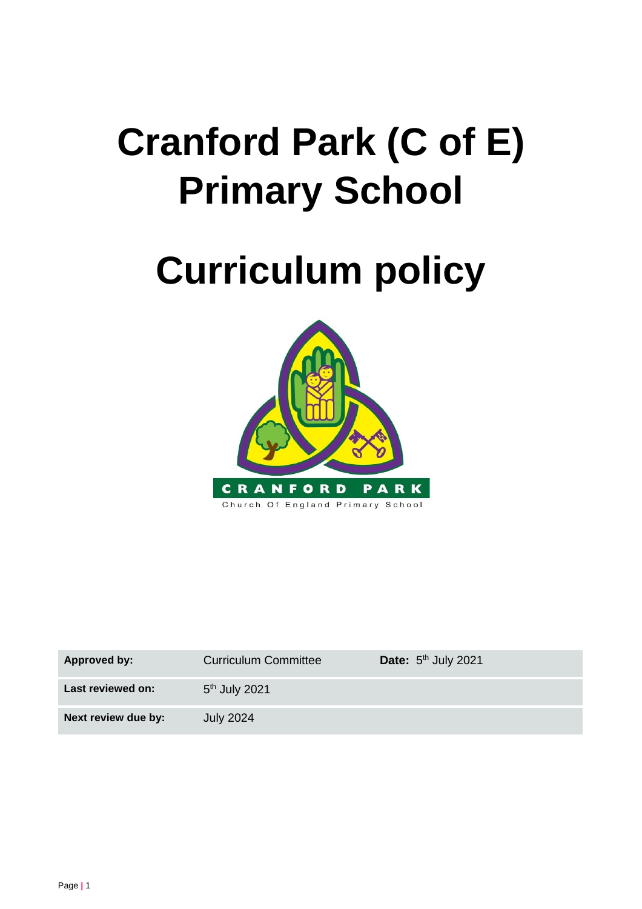# **Cranford Park (C of E) Primary School**

# **Curriculum policy**



| <b>Approved by:</b> | <b>Curriculum Committee</b> | <b>Date:</b> $5th$ July 2021 |
|---------------------|-----------------------------|------------------------------|
| Last reviewed on:   | 5 <sup>th</sup> July 2021   |                              |
| Next review due by: | <b>July 2024</b>            |                              |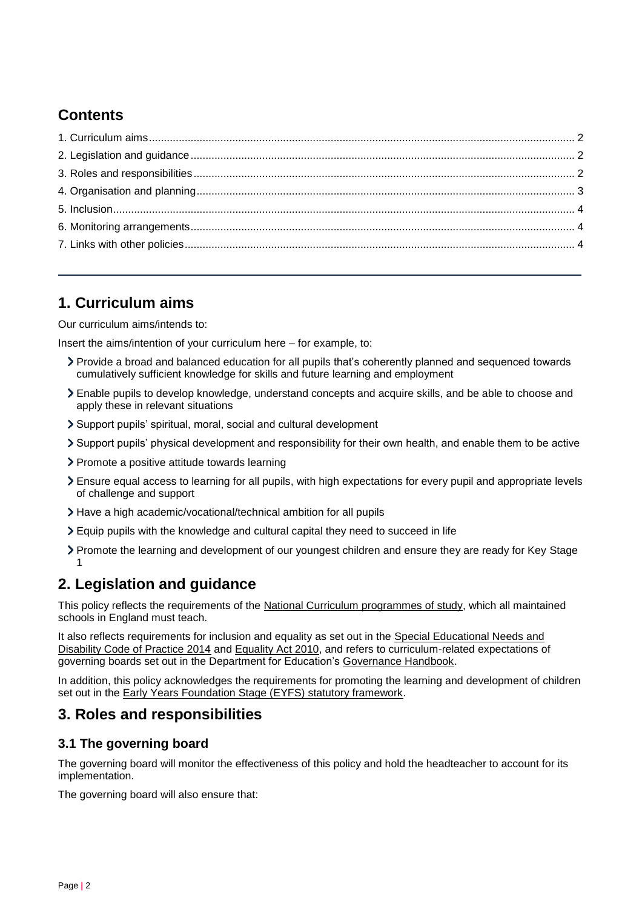# **Contents**

## <span id="page-1-0"></span>**1. Curriculum aims**

Our curriculum aims/intends to:

Insert the aims/intention of your curriculum here – for example, to:

- Provide a broad and balanced education for all pupils that's coherently planned and sequenced towards cumulatively sufficient knowledge for skills and future learning and employment
- Enable pupils to develop knowledge, understand concepts and acquire skills, and be able to choose and apply these in relevant situations
- Support pupils' spiritual, moral, social and cultural development
- Support pupils' physical development and responsibility for their own health, and enable them to be active
- > Promote a positive attitude towards learning
- Ensure equal access to learning for all pupils, with high expectations for every pupil and appropriate levels of challenge and support
- Have a high academic/vocational/technical ambition for all pupils
- Equip pupils with the knowledge and cultural capital they need to succeed in life
- Promote the learning and development of our youngest children and ensure they are ready for Key Stage 1

# <span id="page-1-1"></span>**2. Legislation and guidance**

This policy reflects the requirements of the [National Curriculum programmes of study,](https://www.gov.uk/government/collections/national-curriculum) which all maintained schools in England must teach.

It also reflects requirements for inclusion and equality as set out in the [Special Educational Needs and](https://www.gov.uk/government/publications/send-code-of-practice-0-to-25)  [Disability Code of Practice 2014](https://www.gov.uk/government/publications/send-code-of-practice-0-to-25) and [Equality Act 2010,](http://www.legislation.gov.uk/ukpga/2010/15/part/6/chapter/1) and refers to curriculum-related expectations of governing boards set out in the Department for Education's [Governance Handbook.](https://www.gov.uk/government/publications/governance-handbook)

In addition, this policy acknowledges the requirements for promoting the learning and development of children set out in the [Early Years Foundation Stage \(EYFS\) statutory framework.](https://www.gov.uk/government/publications/early-years-foundation-stage-framework--2)

## <span id="page-1-2"></span>**3. Roles and responsibilities**

### **3.1 The governing board**

The governing board will monitor the effectiveness of this policy and hold the headteacher to account for its implementation.

The governing board will also ensure that: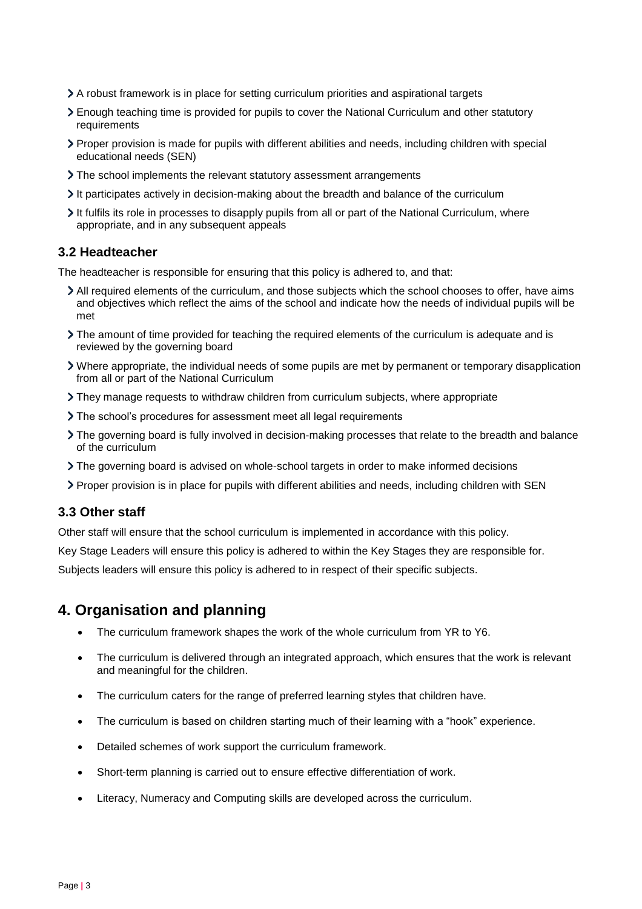- A robust framework is in place for setting curriculum priorities and aspirational targets
- Enough teaching time is provided for pupils to cover the National Curriculum and other statutory requirements
- Proper provision is made for pupils with different abilities and needs, including children with special educational needs (SEN)
- > The school implements the relevant statutory assessment arrangements
- It participates actively in decision-making about the breadth and balance of the curriculum
- It fulfils its role in processes to disapply pupils from all or part of the National Curriculum, where appropriate, and in any subsequent appeals

#### **3.2 Headteacher**

The headteacher is responsible for ensuring that this policy is adhered to, and that:

- All required elements of the curriculum, and those subjects which the school chooses to offer, have aims and objectives which reflect the aims of the school and indicate how the needs of individual pupils will be met
- The amount of time provided for teaching the required elements of the curriculum is adequate and is reviewed by the governing board
- Where appropriate, the individual needs of some pupils are met by permanent or temporary disapplication from all or part of the National Curriculum
- They manage requests to withdraw children from curriculum subjects, where appropriate
- The school's procedures for assessment meet all legal requirements
- The governing board is fully involved in decision-making processes that relate to the breadth and balance of the curriculum
- The governing board is advised on whole-school targets in order to make informed decisions
- Proper provision is in place for pupils with different abilities and needs, including children with SEN

#### **3.3 Other staff**

Other staff will ensure that the school curriculum is implemented in accordance with this policy.

Key Stage Leaders will ensure this policy is adhered to within the Key Stages they are responsible for.

Subjects leaders will ensure this policy is adhered to in respect of their specific subjects.

## <span id="page-2-0"></span>**4. Organisation and planning**

- The curriculum framework shapes the work of the whole curriculum from YR to Y6.
- The curriculum is delivered through an integrated approach, which ensures that the work is relevant and meaningful for the children.
- The curriculum caters for the range of preferred learning styles that children have.
- The curriculum is based on children starting much of their learning with a "hook" experience.
- Detailed schemes of work support the curriculum framework.
- Short-term planning is carried out to ensure effective differentiation of work.
- Literacy, Numeracy and Computing skills are developed across the curriculum.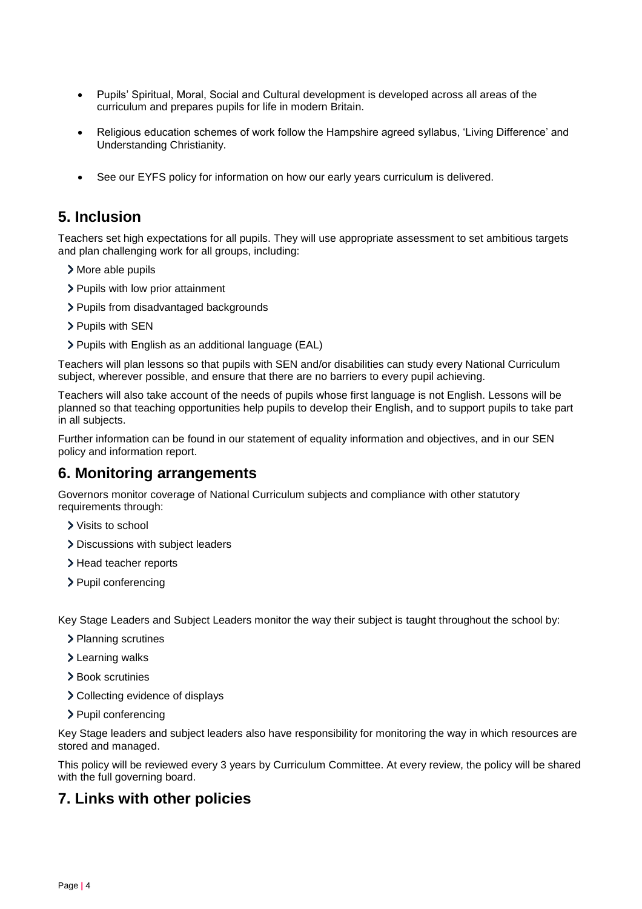- Pupils' Spiritual, Moral, Social and Cultural development is developed across all areas of the curriculum and prepares pupils for life in modern Britain.
- Religious education schemes of work follow the Hampshire agreed syllabus, 'Living Difference' and Understanding Christianity.
- See our EYFS policy for information on how our early years curriculum is delivered.

## <span id="page-3-0"></span>**5. Inclusion**

Teachers set high expectations for all pupils. They will use appropriate assessment to set ambitious targets and plan challenging work for all groups, including:

- More able pupils
- > Pupils with low prior attainment
- > Pupils from disadvantaged backgrounds
- > Pupils with SEN
- Pupils with English as an additional language (EAL)

Teachers will plan lessons so that pupils with SEN and/or disabilities can study every National Curriculum subject, wherever possible, and ensure that there are no barriers to every pupil achieving.

Teachers will also take account of the needs of pupils whose first language is not English. Lessons will be planned so that teaching opportunities help pupils to develop their English, and to support pupils to take part in all subjects.

Further information can be found in our statement of equality information and objectives, and in our SEN policy and information report.

#### <span id="page-3-1"></span>**6. Monitoring arrangements**

Governors monitor coverage of National Curriculum subjects and compliance with other statutory requirements through:

- Visits to school
- > Discussions with subject leaders
- > Head teacher reports
- > Pupil conferencing

Key Stage Leaders and Subject Leaders monitor the way their subject is taught throughout the school by:

- > Planning scrutines
- Learning walks
- Book scrutinies
- > Collecting evidence of displays
- > Pupil conferencing

Key Stage leaders and subject leaders also have responsibility for monitoring the way in which resources are stored and managed.

This policy will be reviewed every 3 years by Curriculum Committee. At every review, the policy will be shared with the full governing board.

### <span id="page-3-2"></span>**7. Links with other policies**